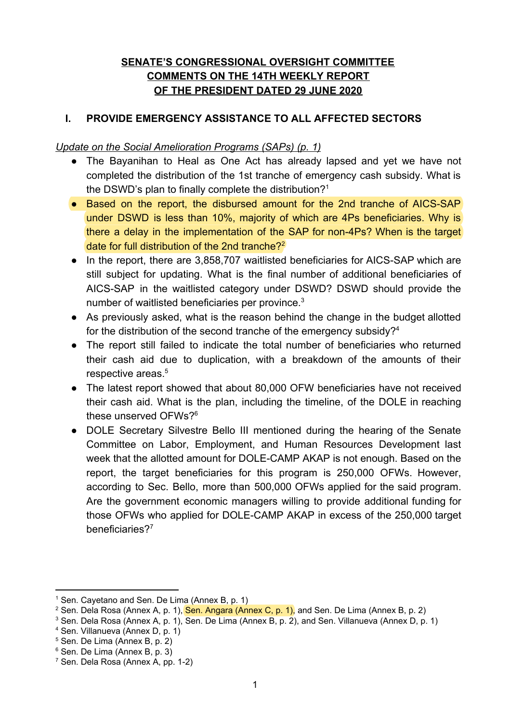# **SENATE'S CONGRESSIONAL OVERSIGHT COMMITTEE COMMENTS ON THE 14TH WEEKLY REPORT OF THE PRESIDENT DATED 29 JUNE 2020**

## **I. PROVIDE EMERGENCY ASSISTANCE TO ALL AFFECTED SECTORS**

*Update on the Social Amelioration Programs (SAPs) (p. 1)*

- The Bayanihan to Heal as One Act has already lapsed and yet we have not completed the distribution of the 1st tranche of emergency cash subsidy. What is the DSWD's plan to finally complete the distribution?<sup>1</sup>
- Based on the report, the disbursed amount for the 2nd tranche of AICS-SAP under DSWD is less than 10%, majority of which are 4Ps beneficiaries. Why is there a delay in the implementation of the SAP for non-4Ps? When is the target date for full distribution of the 2nd tranche? $2^2$
- In the report, there are 3,858,707 waitlisted beneficiaries for AICS-SAP which are still subject for updating. What is the final number of additional beneficiaries of AICS-SAP in the waitlisted category under DSWD? DSWD should provide the number of waitlisted beneficiaries per province.<sup>3</sup>
- As previously asked, what is the reason behind the change in the budget allotted for the distribution of the second tranche of the emergency subsidy?<sup>4</sup>
- The report still failed to indicate the total number of beneficiaries who returned their cash aid due to duplication, with a breakdown of the amounts of their respective areas.<sup>5</sup>
- The latest report showed that about 80,000 OFW beneficiaries have not received their cash aid. What is the plan, including the timeline, of the DOLE in reaching these unserved OFWs?<sup>6</sup>
- DOLE Secretary Silvestre Bello III mentioned during the hearing of the Senate Committee on Labor, Employment, and Human Resources Development last week that the allotted amount for DOLE-CAMP AKAP is not enough. Based on the report, the target beneficiaries for this program is 250,000 OFWs. However, according to Sec. Bello, more than 500,000 OFWs applied for the said program. Are the government economic managers willing to provide additional funding for those OFWs who applied for DOLE-CAMP AKAP in excess of the 250,000 target beneficiaries?<sup>7</sup>

<sup>&</sup>lt;sup>1</sup> Sen. Cayetano and Sen. De Lima (Annex B, p. 1)

<sup>&</sup>lt;sup>2</sup> Sen. Dela Rosa (Annex A, p. 1), Sen. Angara (Annex C, p. 1), and Sen. De Lima (Annex B, p. 2)

<sup>&</sup>lt;sup>3</sup> Sen. Dela Rosa (Annex A, p. 1), Sen. De Lima (Annex B, p. 2), and Sen. Villanueva (Annex D, p. 1)

<sup>4</sup> Sen. Villanueva (Annex D, p. 1)

<sup>5</sup> Sen. De Lima (Annex B, p. 2)

<sup>6</sup> Sen. De Lima (Annex B, p. 3)

<sup>7</sup> Sen. Dela Rosa (Annex A, pp. 1-2)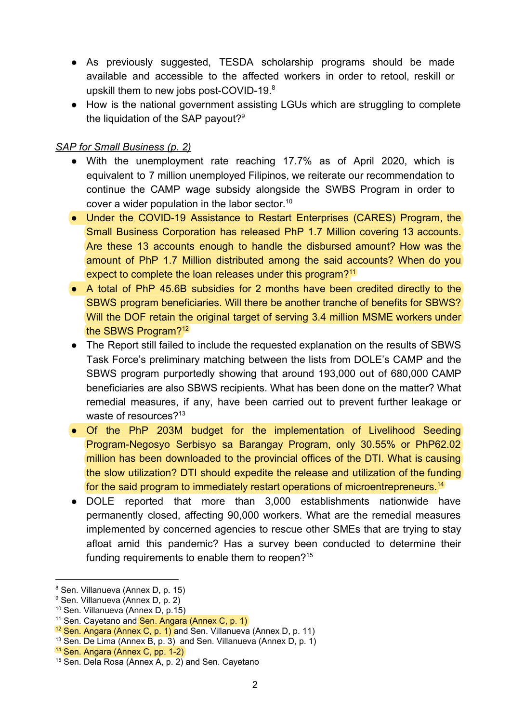- As previously suggested, TESDA scholarship programs should be made available and accessible to the affected workers in order to retool, reskill or upskill them to new jobs post-COVID-19.<sup>8</sup>
- How is the national government assisting LGUs which are struggling to complete the liquidation of the SAP payout? $9$

## *SAP for Small Business (p. 2)*

- With the unemployment rate reaching 17.7% as of April 2020, which is equivalent to 7 million unemployed Filipinos, we reiterate our recommendation to continue the CAMP wage subsidy alongside the SWBS Program in order to cover a wider population in the labor sector.<sup>10</sup>
- Under the COVID-19 Assistance to Restart Enterprises (CARES) Program, the Small Business Corporation has released PhP 1.7 Million covering 13 accounts. Are these 13 accounts enough to handle the disbursed amount? How was the amount of PhP 1.7 Million distributed among the said accounts? When do you expect to complete the loan releases under this program?<sup>11</sup>
- A total of PhP 45.6B subsidies for 2 months have been credited directly to the SBWS program beneficiaries. Will there be another tranche of benefits for SBWS? Will the DOF retain the original target of serving 3.4 million MSME workers under the SBWS Program?<sup>12</sup>
- The Report still failed to include the requested explanation on the results of SBWS Task Force's preliminary matching between the lists from DOLE's CAMP and the SBWS program purportedly showing that around 193,000 out of 680,000 CAMP beneficiaries are also SBWS recipients. What has been done on the matter? What remedial measures, if any, have been carried out to prevent further leakage or waste of resources?<sup>13</sup>
- Of the PhP 203M budget for the implementation of Livelihood Seeding Program-Negosyo Serbisyo sa Barangay Program, only 30.55% or PhP62.02 million has been downloaded to the provincial offices of the DTI. What is causing the slow utilization? DTI should expedite the release and utilization of the funding for the said program to immediately restart operations of microentrepreneurs.<sup>14</sup>
- DOLE reported that more than 3,000 establishments nationwide have permanently closed, affecting 90,000 workers. What are the remedial measures implemented by concerned agencies to rescue other SMEs that are trying to stay afloat amid this pandemic? Has a survey been conducted to determine their funding requirements to enable them to reopen?<sup>15</sup>

<sup>8</sup> Sen. Villanueva (Annex D, p. 15)

<sup>&</sup>lt;sup>9</sup> Sen. Villanueva (Annex D, p. 2)

<sup>10</sup> Sen. Villanueva (Annex D, p.15)

<sup>&</sup>lt;sup>11</sup> Sen. Cayetano and Sen. Angara (Annex C, p. 1)

<sup>&</sup>lt;sup>12</sup> Sen. Angara (Annex C, p. 1) and Sen. Villanueva (Annex D, p. 11)

 $13$  Sen. De Lima (Annex B, p. 3) and Sen. Villanueva (Annex D, p. 1)

<sup>14</sup> Sen. Angara (Annex C, pp. 1-2)

<sup>15</sup> Sen. Dela Rosa (Annex A, p. 2) and Sen. Cayetano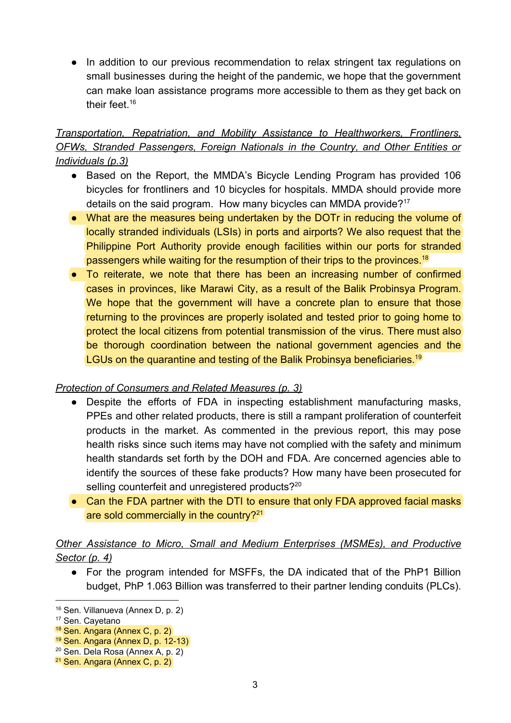● In addition to our previous recommendation to relax stringent tax regulations on small businesses during the height of the pandemic, we hope that the government can make loan assistance programs more accessible to them as they get back on their feet.<sup>16</sup>

# *Transportation, Repatriation, and Mobility Assistance to Healthworkers, Frontliners, OFWs, Stranded Passengers, Foreign Nationals in the Country, and Other Entities or Individuals (p.3)*

- Based on the Report, the MMDA's Bicycle Lending Program has provided 106 bicycles for frontliners and 10 bicycles for hospitals. MMDA should provide more details on the said program. How many bicycles can MMDA provide?<sup>17</sup>
- What are the measures being undertaken by the DOTr in reducing the volume of locally stranded individuals (LSIs) in ports and airports? We also request that the Philippine Port Authority provide enough facilities within our ports for stranded passengers while waiting for the resumption of their trips to the provinces.<sup>18</sup>
- To reiterate, we note that there has been an increasing number of confirmed cases in provinces, like Marawi City, as a result of the Balik Probinsya Program. We hope that the government will have a concrete plan to ensure that those returning to the provinces are properly isolated and tested prior to going home to protect the local citizens from potential transmission of the virus. There must also be thorough coordination between the national government agencies and the LGUs on the quarantine and testing of the Balik Probinsya beneficiaries.<sup>19</sup>

## *Protection of Consumers and Related Measures (p. 3)*

- Despite the efforts of FDA in inspecting establishment manufacturing masks, PPEs and other related products, there is still a rampant proliferation of counterfeit products in the market. As commented in the previous report, this may pose health risks since such items may have not complied with the safety and minimum health standards set forth by the DOH and FDA. Are concerned agencies able to identify the sources of these fake products? How many have been prosecuted for selling counterfeit and unregistered products?<sup>20</sup>
- Can the FDA partner with the DTI to ensure that only FDA approved facial masks are sold commercially in the country?<sup>21</sup>

# *Other Assistance to Micro, Small and Medium Enterprises (MSMEs), and Productive Sector (p. 4)*

● For the program intended for MSFFs, the DA indicated that of the PhP1 Billion budget, PhP 1.063 Billion was transferred to their partner lending conduits (PLCs).

<sup>&</sup>lt;sup>16</sup> Sen. Villanueva (Annex D, p. 2)

<sup>&</sup>lt;sup>17</sup> Sen. Cayetano

<sup>18</sup> Sen. Angara (Annex C, p. 2)

 $19$  Sen. Angara (Annex D, p. 12-13)

<sup>20</sup> Sen. Dela Rosa (Annex A, p. 2)

<sup>21</sup> Sen. Angara (Annex C, p. 2)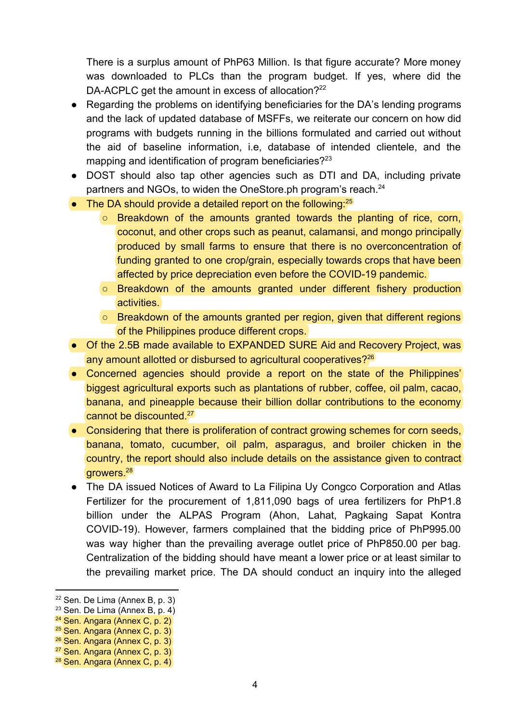There is a surplus amount of PhP63 Million. Is that figure accurate? More money was downloaded to PLCs than the program budget. If yes, where did the DA-ACPLC get the amount in excess of allocation?<sup>22</sup>

- Regarding the problems on identifying beneficiaries for the DA's lending programs and the lack of updated database of MSFFs, we reiterate our concern on how did programs with budgets running in the billions formulated and carried out without the aid of baseline information, i.e, database of intended clientele, and the mapping and identification of program beneficiaries?<sup>23</sup>
- DOST should also tap other agencies such as DTI and DA, including private partners and NGOs, to widen the OneStore.ph program's reach.<sup>24</sup>
- The DA should provide a detailed report on the following: $^{25}$ 
	- Breakdown of the amounts granted towards the planting of rice, corn, coconut, and other crops such as peanut, calamansi, and mongo principally produced by small farms to ensure that there is no overconcentration of funding granted to one crop/grain, especially towards crops that have been affected by price depreciation even before the COVID-19 pandemic.
	- Breakdown of the amounts granted under different fishery production activities.
	- Breakdown of the amounts granted per region, given that different regions of the Philippines produce different crops.
- Of the 2.5B made available to EXPANDED SURE Aid and Recovery Project, was any amount allotted or disbursed to agricultural cooperatives?<sup>26</sup>
- Concerned agencies should provide a report on the state of the Philippines' biggest agricultural exports such as plantations of rubber, coffee, oil palm, cacao, banana, and pineapple because their billion dollar contributions to the economy cannot be discounted.<sup>27</sup>
- Considering that there is proliferation of contract growing schemes for corn seeds, banana, tomato, cucumber, oil palm, asparagus, and broiler chicken in the country, the report should also include details on the assistance given to contract growers.<sup>28</sup>
- The DA issued Notices of Award to La Filipina Uy Congco Corporation and Atlas Fertilizer for the procurement of 1,811,090 bags of urea fertilizers for PhP1.8 billion under the ALPAS Program (Ahon, Lahat, Pagkaing Sapat Kontra COVID-19). However, farmers complained that the bidding price of PhP995.00 was way higher than the prevailing average outlet price of PhP850.00 per bag. Centralization of the bidding should have meant a lower price or at least similar to the prevailing market price. The DA should conduct an inquiry into the alleged

<sup>22</sup> Sen. De Lima (Annex B, p. 3)

<sup>23</sup> Sen. De Lima (Annex B, p. 4)

<sup>&</sup>lt;sup>24</sup> Sen. Angara (Annex C, p. 2)

<sup>25</sup> Sen. Angara (Annex C, p. 3)

<sup>26</sup> Sen. Angara (Annex C, p. 3)

<sup>27</sup> Sen. Angara (Annex C, p. 3)

<sup>28</sup> Sen. Angara (Annex C, p. 4)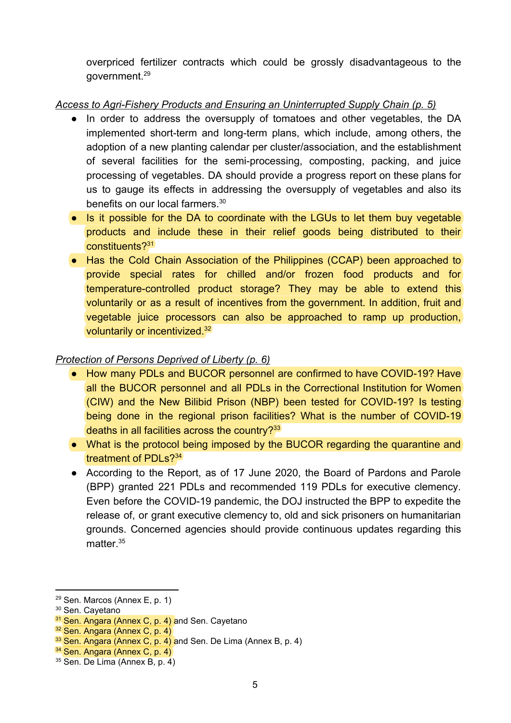overpriced fertilizer contracts which could be grossly disadvantageous to the government.<sup>29</sup>

## *Access to Agri-Fishery Products and Ensuring an Uninterrupted Supply Chain (p. 5)*

- In order to address the oversupply of tomatoes and other vegetables, the DA implemented short-term and long-term plans, which include, among others, the adoption of a new planting calendar per cluster/association, and the establishment of several facilities for the semi-processing, composting, packing, and juice processing of vegetables. DA should provide a progress report on these plans for us to gauge its effects in addressing the oversupply of vegetables and also its benefits on our local farmers.<sup>30</sup>
- Is it possible for the DA to coordinate with the LGUs to let them buy vegetable products and include these in their relief goods being distributed to their constituents?<sup>31</sup>
- Has the Cold Chain Association of the Philippines (CCAP) been approached to provide special rates for chilled and/or frozen food products and for temperature-controlled product storage? They may be able to extend this voluntarily or as a result of incentives from the government. In addition, fruit and vegetable juice processors can also be approached to ramp up production, voluntarily or incentivized.<sup>32</sup>

## *Protection of Persons Deprived of Liberty (p. 6)*

- How many PDLs and BUCOR personnel are confirmed to have COVID-19? Have all the BUCOR personnel and all PDLs in the Correctional Institution for Women (CIW) and the New Bilibid Prison (NBP) been tested for COVID-19? Is testing being done in the regional prison facilities? What is the number of COVID-19 deaths in all facilities across the country?<sup>33</sup>
- What is the protocol being imposed by the BUCOR regarding the quarantine and treatment of PDLs?<sup>34</sup>
- According to the Report, as of 17 June 2020, the Board of Pardons and Parole (BPP) granted 221 PDLs and recommended 119 PDLs for executive clemency. Even before the COVID-19 pandemic, the DOJ instructed the BPP to expedite the release of, or grant executive clemency to, old and sick prisoners on humanitarian grounds. Concerned agencies should provide continuous updates regarding this matter.<sup>35</sup>

 $29$  Sen. Marcos (Annex E, p. 1)

<sup>&</sup>lt;sup>30</sup> Sen. Cayetano

<sup>&</sup>lt;sup>31</sup> Sen. Angara (Annex C, p. 4) and Sen. Cayetano

<sup>32</sup> Sen. Angara (Annex C, p. 4)

<sup>33</sup> Sen. Angara (Annex C, p. 4) and Sen. De Lima (Annex B, p. 4)

<sup>34</sup> Sen. Angara (Annex C, p. 4)

<sup>35</sup> Sen. De Lima (Annex B, p. 4)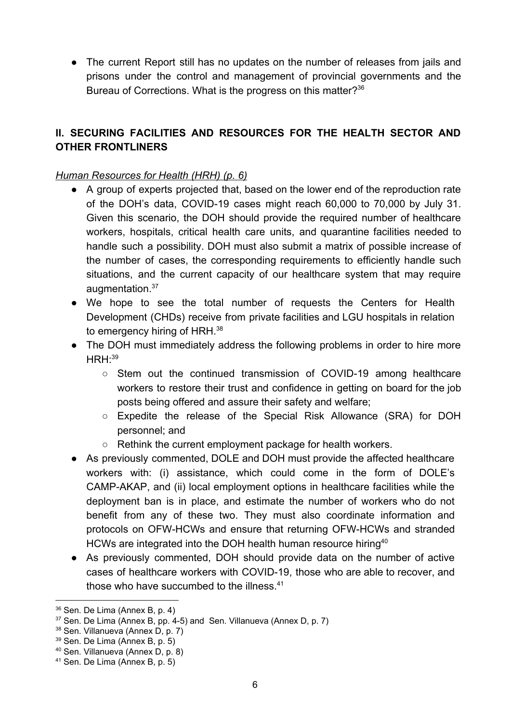• The current Report still has no updates on the number of releases from jails and prisons under the control and management of provincial governments and the Bureau of Corrections. What is the progress on this matter?<sup>36</sup>

# **II. SECURING FACILITIES AND RESOURCES FOR THE HEALTH SECTOR AND OTHER FRONTLINERS**

## *Human Resources for Health (HRH) (p. 6)*

- A group of experts projected that, based on the lower end of the reproduction rate of the DOH's data, COVID-19 cases might reach 60,000 to 70,000 by July 31. Given this scenario, the DOH should provide the required number of healthcare workers, hospitals, critical health care units, and quarantine facilities needed to handle such a possibility. DOH must also submit a matrix of possible increase of the number of cases, the corresponding requirements to efficiently handle such situations, and the current capacity of our healthcare system that may require augmentation.<sup>37</sup>
- We hope to see the total number of requests the Centers for Health Development (CHDs) receive from private facilities and LGU hospitals in relation to emergency hiring of HRH.<sup>38</sup>
- The DOH must immediately address the following problems in order to hire more  $HRH<sup>39</sup>$ 
	- Stem out the continued transmission of COVID-19 among healthcare workers to restore their trust and confidence in getting on board for the job posts being offered and assure their safety and welfare;
	- Expedite the release of the Special Risk Allowance (SRA) for DOH personnel; and
	- Rethink the current employment package for health workers.
- As previously commented, DOLE and DOH must provide the affected healthcare workers with: (i) assistance, which could come in the form of DOLE's CAMP-AKAP, and (ii) local employment options in healthcare facilities while the deployment ban is in place, and estimate the number of workers who do not benefit from any of these two. They must also coordinate information and protocols on OFW-HCWs and ensure that returning OFW-HCWs and stranded HCWs are integrated into the DOH health human resource hiring<sup>40</sup>
- As previously commented, DOH should provide data on the number of active cases of healthcare workers with COVID-19, those who are able to recover, and those who have succumbed to the illness.<sup>41</sup>

<sup>36</sup> Sen. De Lima (Annex B, p. 4)

 $37$  Sen. De Lima (Annex B, pp. 4-5) and Sen. Villanueva (Annex D, p. 7)

<sup>38</sup> Sen. Villanueva (Annex D, p. 7)

<sup>39</sup> Sen. De Lima (Annex B, p. 5)

<sup>40</sup> Sen. Villanueva (Annex D, p. 8)

<sup>41</sup> Sen. De Lima (Annex B, p. 5)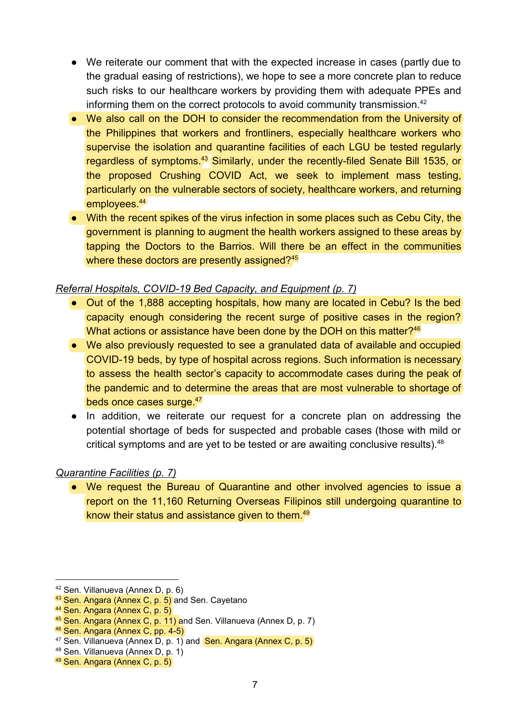- We reiterate our comment that with the expected increase in cases (partly due to the gradual easing of restrictions), we hope to see a more concrete plan to reduce such risks to our healthcare workers by providing them with adequate PPEs and informing them on the correct protocols to avoid community transmission.<sup>42</sup>
- We also call on the DOH to consider the recommendation from the University of the Philippines that workers and frontliners, especially healthcare workers who supervise the isolation and quarantine facilities of each LGU be tested regularly regardless of symptoms.<sup>43</sup> Similarly, under the recently-filed Senate Bill 1535, or the proposed Crushing COVID Act, we seek to implement mass testing, particularly on the vulnerable sectors of society, healthcare workers, and returning employees.<sup>44</sup>
- With the recent spikes of the virus infection in some places such as Cebu City, the government is planning to augment the health workers assigned to these areas by tapping the Doctors to the Barrios. Will there be an effect in the communities where these doctors are presently assigned?<sup>45</sup>

#### *Referral Hospitals, COVID-19 Bed Capacity, and Equipment (p. 7)*

- Out of the 1,888 accepting hospitals, how many are located in Cebu? Is the bed capacity enough considering the recent surge of positive cases in the region? What actions or assistance have been done by the DOH on this matter?<sup>46</sup>
- We also previously requested to see a granulated data of available and occupied COVID-19 beds, by type of hospital across regions. Such information is necessary to assess the health sector's capacity to accommodate cases during the peak of the pandemic and to determine the areas that are most vulnerable to shortage of beds once cases surge.<sup>47</sup>
- In addition, we reiterate our request for a concrete plan on addressing the potential shortage of beds for suspected and probable cases (those with mild or critical symptoms and are yet to be tested or are awaiting conclusive results).<sup>48</sup>

#### *Quarantine Facilities (p. 7)*

● We request the Bureau of Quarantine and other involved agencies to issue a report on the 11,160 Returning Overseas Filipinos still undergoing quarantine to know their status and assistance given to them.<sup>49</sup>

<sup>42</sup> Sen. Villanueva (Annex D, p. 6)

 $43$  Sen. Angara (Annex C, p. 5) and Sen. Cayetano

<sup>44</sup> Sen. Angara (Annex C, p. 5)

 $45$  Sen. Angara (Annex C, p. 11) and Sen. Villanueva (Annex D, p. 7)

<sup>46</sup> Sen. Angara (Annex C, pp. 4-5)

 $47$  Sen. Villanueva (Annex D, p. 1) and Sen. Angara (Annex C, p. 5)

<sup>48</sup> Sen. Villanueva (Annex D, p. 1)

<sup>49</sup> Sen. Angara (Annex C, p. 5)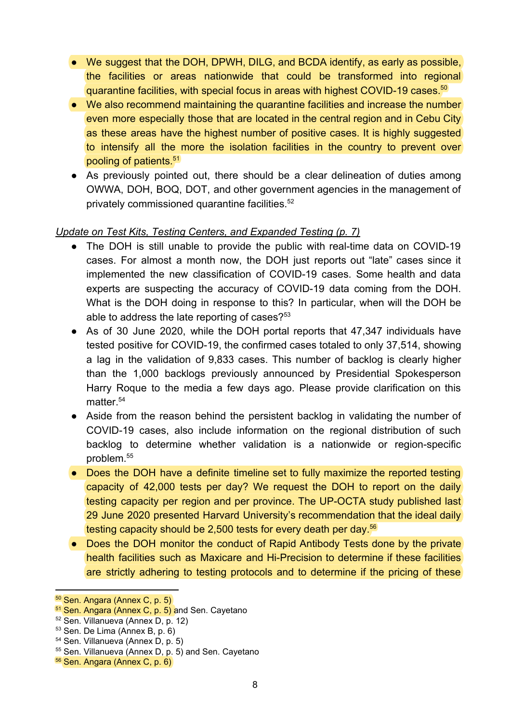- We suggest that the DOH, DPWH, DILG, and BCDA identify, as early as possible, the facilities or areas nationwide that could be transformed into regional guarantine facilities, with special focus in areas with highest COVID-19 cases.<sup>50</sup>
- We also recommend maintaining the quarantine facilities and increase the number even more especially those that are located in the central region and in Cebu City as these areas have the highest number of positive cases. It is highly suggested to intensify all the more the isolation facilities in the country to prevent over pooling of patients.<sup>51</sup>
- As previously pointed out, there should be a clear delineation of duties among OWWA, DOH, BOQ, DOT, and other government agencies in the management of privately commissioned quarantine facilities.<sup>52</sup>

## *Update on Test Kits, Testing Centers, and Expanded Testing (p. 7)*

- The DOH is still unable to provide the public with real-time data on COVID-19 cases. For almost a month now, the DOH just reports out "late" cases since it implemented the new classification of COVID-19 cases. Some health and data experts are suspecting the accuracy of COVID-19 data coming from the DOH. What is the DOH doing in response to this? In particular, when will the DOH be able to address the late reporting of cases?<sup>53</sup>
- As of 30 June 2020, while the DOH portal reports that 47,347 individuals have tested positive for COVID-19, the confirmed cases totaled to only 37,514, showing a lag in the validation of 9,833 cases. This number of backlog is clearly higher than the 1,000 backlogs previously announced by Presidential Spokesperson Harry Roque to the media a few days ago. Please provide clarification on this matter.<sup>54</sup>
- Aside from the reason behind the persistent backlog in validating the number of COVID-19 cases, also include information on the regional distribution of such backlog to determine whether validation is a nationwide or region-specific problem.<sup>55</sup>
- Does the DOH have a definite timeline set to fully maximize the reported testing capacity of 42,000 tests per day? We request the DOH to report on the daily testing capacity per region and per province. The UP-OCTA study published last 29 June 2020 presented Harvard University's recommendation that the ideal daily testing capacity should be 2,500 tests for every death per day.<sup>56</sup>
- Does the DOH monitor the conduct of Rapid Antibody Tests done by the private health facilities such as Maxicare and Hi-Precision to determine if these facilities are strictly adhering to testing protocols and to determine if the pricing of these

<sup>50</sup> Sen. Angara (Annex C, p. 5)

<sup>&</sup>lt;sup>51</sup> Sen. Angara (Annex C, p. 5) and Sen. Cayetano

<sup>52</sup> Sen. Villanueva (Annex D, p. 12)

<sup>53</sup> Sen. De Lima (Annex B, p. 6)

<sup>54</sup> Sen. Villanueva (Annex D, p. 5)

<sup>55</sup> Sen. Villanueva (Annex D, p. 5) and Sen. Cayetano

<sup>56</sup> Sen. Angara (Annex C, p. 6)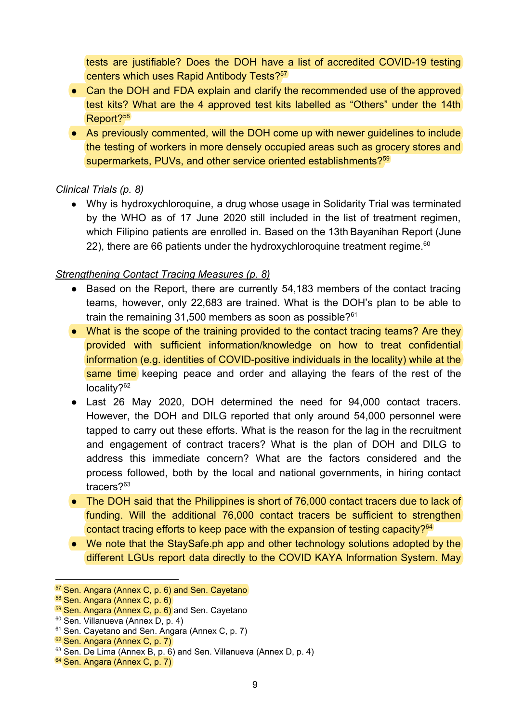tests are justifiable? Does the DOH have a list of accredited COVID-19 testing centers which uses Rapid Antibody Tests?<sup>57</sup>

- Can the DOH and FDA explain and clarify the recommended use of the approved test kits? What are the 4 approved test kits labelled as "Others" under the 14th Report?<sup>58</sup>
- As previously commented, will the DOH come up with newer guidelines to include the testing of workers in more densely occupied areas such as grocery stores and supermarkets, PUVs, and other service oriented establishments?<sup>59</sup>

## *Clinical Trials (p. 8)*

● Why is hydroxychloroquine, a drug whose usage in Solidarity Trial was terminated by the WHO as of 17 June 2020 still included in the list of treatment regimen, which Filipino patients are enrolled in. Based on the 13th Bayanihan Report (June 22), there are 66 patients under the hydroxychloroquine treatment regime. $60$ 

## *Strengthening Contact Tracing Measures (p. 8)*

- Based on the Report, there are currently 54,183 members of the contact tracing teams, however, only 22,683 are trained. What is the DOH's plan to be able to train the remaining  $31,500$  members as soon as possible? $61$
- What is the scope of the training provided to the contact tracing teams? Are they provided with sufficient information/knowledge on how to treat confidential information (e.g. identities of COVID-positive individuals in the locality) while at the same time keeping peace and order and allaying the fears of the rest of the locality?<sup>62</sup>
- Last 26 May 2020, DOH determined the need for 94,000 contact tracers. However, the DOH and DILG reported that only around 54,000 personnel were tapped to carry out these efforts. What is the reason for the lag in the recruitment and engagement of contract tracers? What is the plan of DOH and DILG to address this immediate concern? What are the factors considered and the process followed, both by the local and national governments, in hiring contact tracers?<sup>63</sup>
- The DOH said that the Philippines is short of 76,000 contact tracers due to lack of funding. Will the additional 76,000 contact tracers be sufficient to strengthen contact tracing efforts to keep pace with the expansion of testing capacity? $64$
- We note that the StaySafe.ph app and other technology solutions adopted by the different LGUs report data directly to the COVID KAYA Information System. May

<sup>57</sup> Sen. Angara (Annex C, p. 6) and Sen. Cayetano

<sup>58</sup> Sen. Angara (Annex C, p. 6)

<sup>59</sup> Sen. Angara (Annex C, p. 6) and Sen. Cayetano

<sup>60</sup> Sen. Villanueva (Annex D, p. 4)

<sup>&</sup>lt;sup>61</sup> Sen. Cayetano and Sen. Angara (Annex C, p. 7)

<sup>62</sup> Sen. Angara (Annex C, p. 7)

<sup>&</sup>lt;sup>63</sup> Sen. De Lima (Annex B, p. 6) and Sen. Villanueva (Annex D, p. 4)

<sup>64</sup> Sen. Angara (Annex C, p. 7)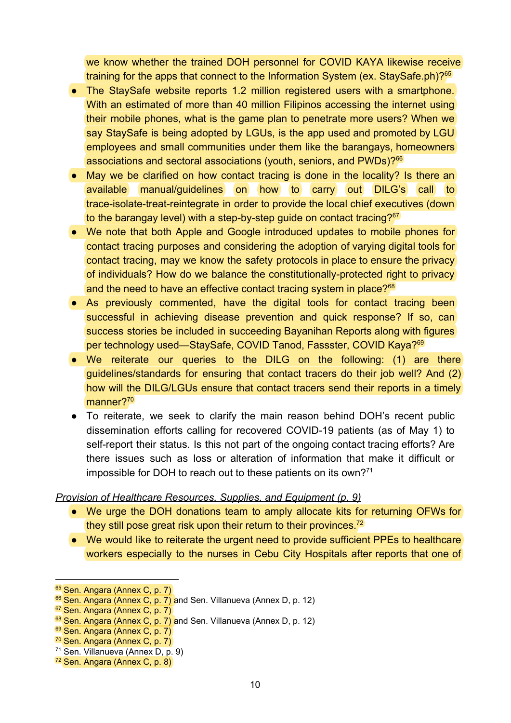we know whether the trained DOH personnel for COVID KAYA likewise receive training for the apps that connect to the Information System (ex. StaySafe.ph)?<sup>65</sup>

- The StaySafe website reports 1.2 million registered users with a smartphone. With an estimated of more than 40 million Filipinos accessing the internet using their mobile phones, what is the game plan to penetrate more users? When we say StaySafe is being adopted by LGUs, is the app used and promoted by LGU employees and small communities under them like the barangays, homeowners associations and sectoral associations (youth, seniors, and PWDs)?<sup>66</sup>
- May we be clarified on how contact tracing is done in the locality? Is there an available manual/guidelines on how to carry out DILG's call to trace-isolate-treat-reintegrate in order to provide the local chief executives (down to the barangay level) with a step-by-step quide on contact tracing? $67$
- We note that both Apple and Google introduced updates to mobile phones for contact tracing purposes and considering the adoption of varying digital tools for contact tracing, may we know the safety protocols in place to ensure the privacy of individuals? How do we balance the constitutionally-protected right to privacy and the need to have an effective contact tracing system in place?<sup>68</sup>
- As previously commented, have the digital tools for contact tracing been successful in achieving disease prevention and quick response? If so, can success stories be included in succeeding Bayanihan Reports along with figures per technology used—StaySafe, COVID Tanod, Fassster, COVID Kaya?<sup>69</sup>
- We reiterate our queries to the DILG on the following: (1) are there guidelines/standards for ensuring that contact tracers do their job well? And (2) how will the DILG/LGUs ensure that contact tracers send their reports in a timely manner?<sup>70</sup>
- To reiterate, we seek to clarify the main reason behind DOH's recent public dissemination efforts calling for recovered COVID-19 patients (as of May 1) to self-report their status. Is this not part of the ongoing contact tracing efforts? Are there issues such as loss or alteration of information that make it difficult or impossible for DOH to reach out to these patients on its own?<sup>71</sup>

#### *Provision of Healthcare Resources, Supplies, and Equipment (p. 9)*

- We urge the DOH donations team to amply allocate kits for returning OFWs for they still pose great risk upon their return to their provinces. $72$
- We would like to reiterate the urgent need to provide sufficient PPEs to healthcare workers especially to the nurses in Cebu City Hospitals after reports that one of

<sup>65</sup> Sen. Angara (Annex C, p. 7)

 $66$  Sen. Angara (Annex C, p. 7) and Sen. Villanueva (Annex D, p. 12)

<sup>67</sup> Sen. Angara (Annex C, p. 7)

<sup>68</sup> Sen. Angara (Annex C, p. 7) and Sen. Villanueva (Annex D, p. 12)

<sup>69</sup> Sen. Angara (Annex C, p. 7)

<sup>70</sup> Sen. Angara (Annex C, p. 7)

<sup>71</sup> Sen. Villanueva (Annex D, p. 9)

<sup>72</sup> Sen. Angara (Annex C, p. 8)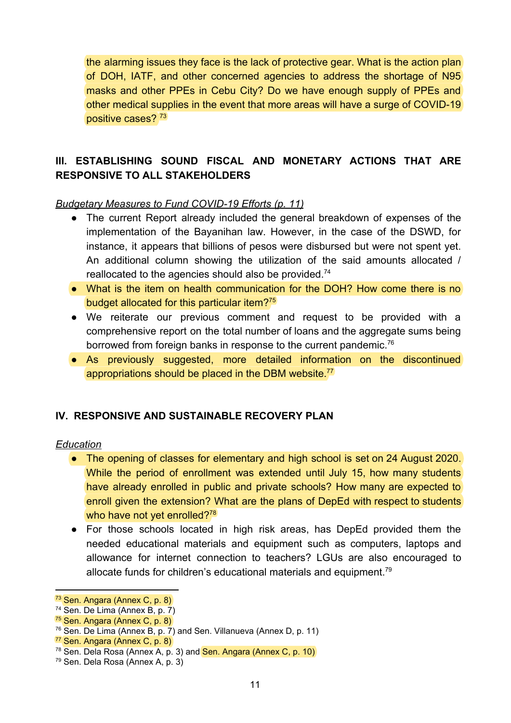the alarming issues they face is the lack of protective gear. What is the action plan of DOH, IATF, and other concerned agencies to address the shortage of N95 masks and other PPEs in Cebu City? Do we have enough supply of PPEs and other medical supplies in the event that more areas will have a surge of COVID-19 positive cases?<sup>73</sup>

# **III. ESTABLISHING SOUND FISCAL AND MONETARY ACTIONS THAT ARE RESPONSIVE TO ALL STAKEHOLDERS**

#### *Budgetary Measures to Fund COVID-19 Efforts (p. 11)*

- The current Report already included the general breakdown of expenses of the implementation of the Bayanihan law. However, in the case of the DSWD, for instance, it appears that billions of pesos were disbursed but were not spent yet. An additional column showing the utilization of the said amounts allocated / reallocated to the agencies should also be provided.<sup>74</sup>
- What is the item on health communication for the DOH? How come there is no budget allocated for this particular item?<sup>75</sup>
- We reiterate our previous comment and request to be provided with a comprehensive report on the total number of loans and the aggregate sums being borrowed from foreign banks in response to the current pandemic.<sup>76</sup>
- As previously suggested, more detailed information on the discontinued appropriations should be placed in the DBM website.<sup>77</sup>

## **IV. RESPONSIVE AND SUSTAINABLE RECOVERY PLAN**

#### *Education*

- The opening of classes for elementary and high school is set on 24 August 2020. While the period of enrollment was extended until July 15, how many students have already enrolled in public and private schools? How many are expected to enroll given the extension? What are the plans of DepEd with respect to students who have not yet enrolled?<sup>78</sup>
- For those schools located in high risk areas, has DepEd provided them the needed educational materials and equipment such as computers, laptops and allowance for internet connection to teachers? LGUs are also encouraged to allocate funds for children's educational materials and equipment.<sup>79</sup>

<sup>73</sup> Sen. Angara (Annex C, p. 8)

<sup>74</sup> Sen. De Lima (Annex B, p. 7)

<sup>75</sup> Sen. Angara (Annex C, p. 8)

 $76$  Sen. De Lima (Annex B, p. 7) and Sen. Villanueva (Annex D, p. 11)

<sup>77</sup> Sen. Angara (Annex C, p. 8)

<sup>&</sup>lt;sup>78</sup> Sen. Dela Rosa (Annex A, p. 3) and **Sen. Angara (Annex C, p. 10)** 

<sup>79</sup> Sen. Dela Rosa (Annex A, p. 3)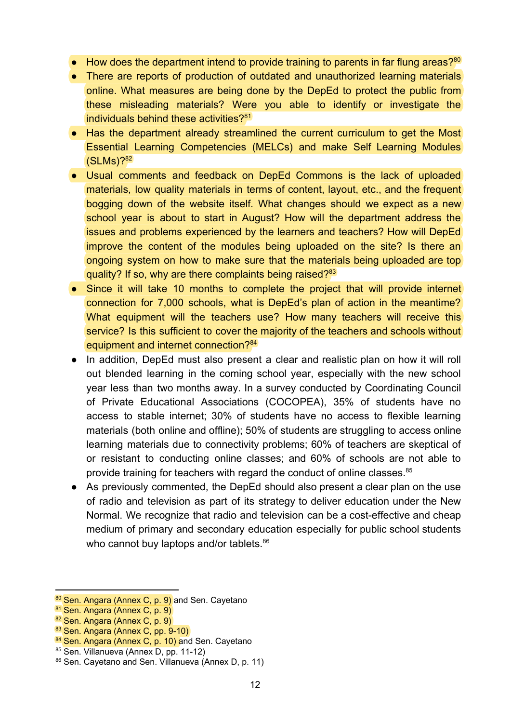- $\bullet$  How does the department intend to provide training to parents in far flung areas?<sup>80</sup>
- There are reports of production of outdated and unauthorized learning materials online. What measures are being done by the DepEd to protect the public from these misleading materials? Were you able to identify or investigate the individuals behind these activities?<sup>81</sup>
- Has the department already streamlined the current curriculum to get the Most Essential Learning Competencies (MELCs) and make Self Learning Modules  $(SLMs)$ ?<sup>82</sup>
- Usual comments and feedback on DepEd Commons is the lack of uploaded materials, low quality materials in terms of content, layout, etc., and the frequent bogging down of the website itself. What changes should we expect as a new school year is about to start in August? How will the department address the issues and problems experienced by the learners and teachers? How will DepEd improve the content of the modules being uploaded on the site? Is there an ongoing system on how to make sure that the materials being uploaded are top quality? If so, why are there complaints being raised?<sup>83</sup>
- Since it will take 10 months to complete the project that will provide internet connection for 7,000 schools, what is DepEd's plan of action in the meantime? What equipment will the teachers use? How many teachers will receive this service? Is this sufficient to cover the majority of the teachers and schools without equipment and internet connection?<sup>84</sup>
- In addition, DepEd must also present a clear and realistic plan on how it will roll out blended learning in the coming school year, especially with the new school year less than two months away. In a survey conducted by Coordinating Council of Private Educational Associations (COCOPEA), 35% of students have no access to stable internet; 30% of students have no access to flexible learning materials (both online and offline); 50% of students are struggling to access online learning materials due to connectivity problems; 60% of teachers are skeptical of or resistant to conducting online classes; and 60% of schools are not able to provide training for teachers with regard the conduct of online classes.<sup>85</sup>
- As previously commented, the DepEd should also present a clear plan on the use of radio and television as part of its strategy to deliver education under the New Normal. We recognize that radio and television can be a cost-effective and cheap medium of primary and secondary education especially for public school students who cannot buy laptops and/or tablets.<sup>86</sup>

<sup>80</sup> Sen. Angara (Annex C, p. 9) and Sen. Cayetano

<sup>81</sup> Sen. Angara (Annex C, p. 9)

<sup>82</sup> Sen. Angara (Annex C, p. 9)

<sup>83</sup> Sen. Angara (Annex C, pp. 9-10)

<sup>84</sup> Sen. Angara (Annex C, p. 10) and Sen. Cayetano

<sup>85</sup> Sen. Villanueva (Annex D, pp. 11-12)

<sup>86</sup> Sen. Cayetano and Sen. Villanueva (Annex D, p. 11)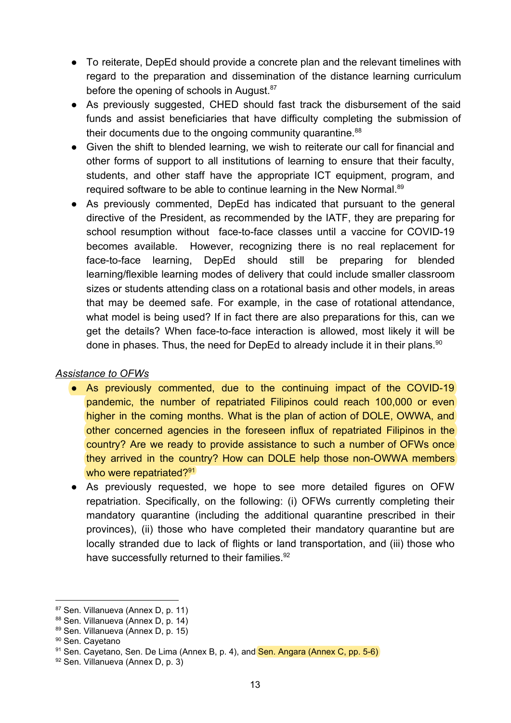- To reiterate, DepEd should provide a concrete plan and the relevant timelines with regard to the preparation and dissemination of the distance learning curriculum before the opening of schools in August.<sup>87</sup>
- As previously suggested, CHED should fast track the disbursement of the said funds and assist beneficiaries that have difficulty completing the submission of their documents due to the ongoing community quarantine.<sup>88</sup>
- Given the shift to blended learning, we wish to reiterate our call for financial and other forms of support to all institutions of learning to ensure that their faculty, students, and other staff have the appropriate ICT equipment, program, and required software to be able to continue learning in the New Normal.<sup>89</sup>
- As previously commented, DepEd has indicated that pursuant to the general directive of the President, as recommended by the IATF, they are preparing for school resumption without face-to-face classes until a vaccine for COVID-19 becomes available. However, recognizing there is no real replacement for face-to-face learning, DepEd should still be preparing for blended learning/flexible learning modes of delivery that could include smaller classroom sizes or students attending class on a rotational basis and other models, in areas that may be deemed safe. For example, in the case of rotational attendance, what model is being used? If in fact there are also preparations for this, can we get the details? When face-to-face interaction is allowed, most likely it will be done in phases. Thus, the need for DepEd to already include it in their plans.<sup>90</sup>

## *Assistance to OFWs*

- **●** As previously commented, due to the continuing impact of the COVID-19 pandemic, the number of repatriated Filipinos could reach 100,000 or even higher in the coming months. What is the plan of action of DOLE, OWWA, and other concerned agencies in the foreseen influx of repatriated Filipinos in the country? Are we ready to provide assistance to such a number of OFWs once they arrived in the country? How can DOLE help those non-OWWA members who were repatriated?<sup>91</sup>
- **●** As previously requested, we hope to see more detailed figures on OFW repatriation. Specifically, on the following: (i) OFWs currently completing their mandatory quarantine (including the additional quarantine prescribed in their provinces), (ii) those who have completed their mandatory quarantine but are locally stranded due to lack of flights or land transportation, and (iii) those who have successfully returned to their families.<sup>92</sup>

<sup>87</sup> Sen. Villanueva (Annex D, p. 11)

<sup>88</sup> Sen. Villanueva (Annex D, p. 14)

<sup>89</sup> Sen. Villanueva (Annex D, p. 15)

<sup>90</sup> Sen. Cayetano

<sup>91</sup> Sen. Cayetano, Sen. De Lima (Annex B, p. 4), and Sen. Angara (Annex C, pp. 5-6)

<sup>92</sup> Sen. Villanueva (Annex D, p. 3)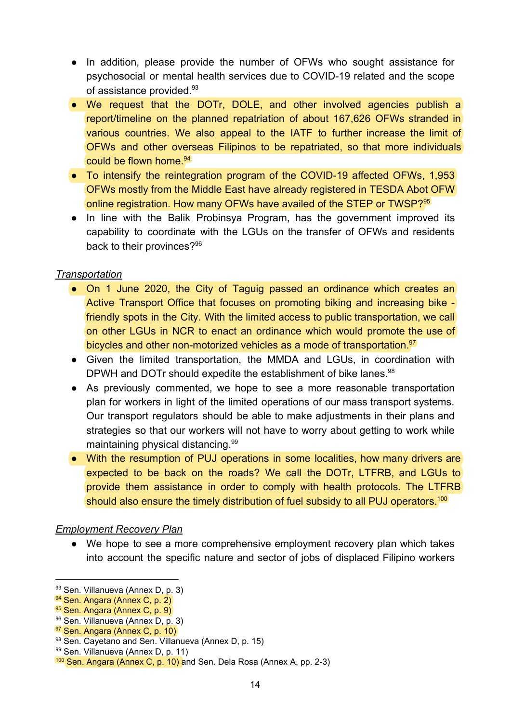- **●** In addition, please provide the number of OFWs who sought assistance for psychosocial or mental health services due to COVID-19 related and the scope of assistance provided.<sup>93</sup>
- We request that the DOTr, DOLE, and other involved agencies publish a report/timeline on the planned repatriation of about 167,626 OFWs stranded in various countries. We also appeal to the IATF to further increase the limit of OFWs and other overseas Filipinos to be repatriated, so that more individuals could be flown home.<sup>94</sup>
- **●** To intensify the reintegration program of the COVID-19 affected OFWs, 1,953 OFWs mostly from the Middle East have already registered in TESDA Abot OFW online registration. How many OFWs have availed of the STEP or TWSP?<sup>95</sup>
- **●** In line with the Balik Probinsya Program, has the government improved its capability to coordinate with the LGUs on the transfer of OFWs and residents back to their provinces?<sup>96</sup>

## *Transportation*

- On 1 June 2020, the City of Taguig passed an ordinance which creates an Active Transport Office that focuses on promoting biking and increasing bike friendly spots in the City. With the limited access to public transportation, we call on other LGUs in NCR to enact an ordinance which would promote the use of bicycles and other non-motorized vehicles as a mode of transportation.<sup>97</sup>
- Given the limited transportation, the MMDA and LGUs, in coordination with DPWH and DOTr should expedite the establishment of bike lanes.<sup>98</sup>
- As previously commented, we hope to see a more reasonable transportation plan for workers in light of the limited operations of our mass transport systems. Our transport regulators should be able to make adjustments in their plans and strategies so that our workers will not have to worry about getting to work while maintaining physical distancing.<sup>99</sup>
- With the resumption of PUJ operations in some localities, how many drivers are expected to be back on the roads? We call the DOTr, LTFRB, and LGUs to provide them assistance in order to comply with health protocols. The LTFRB should also ensure the timely distribution of fuel subsidy to all PUJ operators.<sup>100</sup>

## *Employment Recovery Plan*

● We hope to see a more comprehensive employment recovery plan which takes into account the specific nature and sector of jobs of displaced Filipino workers

<sup>93</sup> Sen. Villanueva (Annex D, p. 3)

<sup>94</sup> Sen. Angara (Annex C, p. 2)

<sup>95</sup> Sen. Angara (Annex C, p. 9)

<sup>96</sup> Sen. Villanueva (Annex D, p. 3)

<sup>97</sup> Sen. Angara (Annex C, p. 10)

<sup>98</sup> Sen. Cayetano and Sen. Villanueva (Annex D, p. 15)

<sup>99</sup> Sen. Villanueva (Annex D, p. 11)

 $100$  Sen. Angara (Annex C, p. 10) and Sen. Dela Rosa (Annex A, pp. 2-3)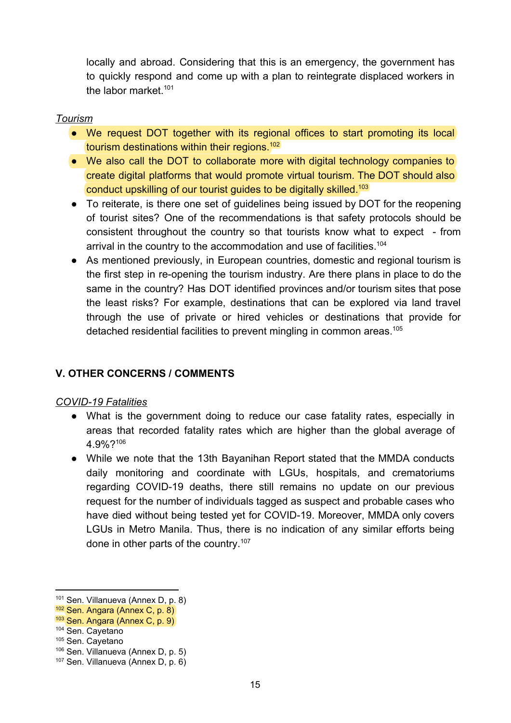locally and abroad. Considering that this is an emergency, the government has to quickly respond and come up with a plan to reintegrate displaced workers in the labor market.<sup>101</sup>

### *Tourism*

- We request DOT together with its regional offices to start promoting its local tourism destinations within their regions.<sup>102</sup>
- We also call the DOT to collaborate more with digital technology companies to create digital platforms that would promote virtual tourism. The DOT should also conduct upskilling of our tourist quides to be digitally skilled.<sup>103</sup>
- To reiterate, is there one set of guidelines being issued by DOT for the reopening of tourist sites? One of the recommendations is that safety protocols should be consistent throughout the country so that tourists know what to expect - from arrival in the country to the accommodation and use of facilities.<sup>104</sup>
- As mentioned previously, in European countries, domestic and regional tourism is the first step in re-opening the tourism industry. Are there plans in place to do the same in the country? Has DOT identified provinces and/or tourism sites that pose the least risks? For example, destinations that can be explored via land travel through the use of private or hired vehicles or destinations that provide for detached residential facilities to prevent mingling in common areas.<sup>105</sup>

## **V. OTHER CONCERNS / COMMENTS**

## *COVID-19 Fatalities*

- What is the government doing to reduce our case fatality rates, especially in areas that recorded fatality rates which are higher than the global average of 4.9%?<sup>106</sup>
- While we note that the 13th Bayanihan Report stated that the MMDA conducts daily monitoring and coordinate with LGUs, hospitals, and crematoriums regarding COVID-19 deaths, there still remains no update on our previous request for the number of individuals tagged as suspect and probable cases who have died without being tested yet for COVID-19. Moreover, MMDA only covers LGUs in Metro Manila. Thus, there is no indication of any similar efforts being done in other parts of the country.<sup>107</sup>

<sup>101</sup> Sen. Villanueva (Annex D, p. 8)

<sup>102</sup> Sen. Angara (Annex C, p. 8)

<sup>103</sup> Sen. Angara (Annex C, p. 9)

<sup>104</sup> Sen. Cayetano

<sup>105</sup> Sen. Cayetano

<sup>106</sup> Sen. Villanueva (Annex D, p. 5)

<sup>107</sup> Sen. Villanueva (Annex D, p. 6)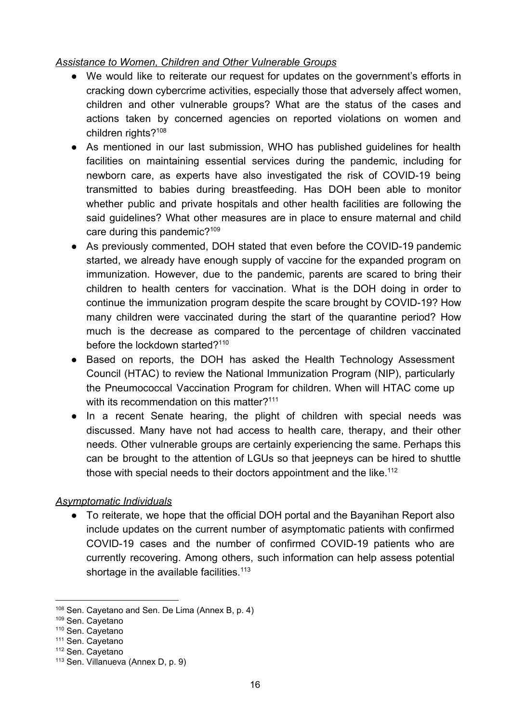## *Assistance to Women, Children and Other Vulnerable Groups*

- We would like to reiterate our request for updates on the government's efforts in cracking down cybercrime activities, especially those that adversely affect women, children and other vulnerable groups? What are the status of the cases and actions taken by concerned agencies on reported violations on women and children rights?<sup>108</sup>
- As mentioned in our last submission, WHO has published guidelines for health facilities on maintaining essential services during the pandemic, including for newborn care, as experts have also investigated the risk of COVID-19 being transmitted to babies during breastfeeding. Has DOH been able to monitor whether public and private hospitals and other health facilities are following the said guidelines? What other measures are in place to ensure maternal and child care during this pandemic?<sup>109</sup>
- As previously commented, DOH stated that even before the COVID-19 pandemic started, we already have enough supply of vaccine for the expanded program on immunization. However, due to the pandemic, parents are scared to bring their children to health centers for vaccination. What is the DOH doing in order to continue the immunization program despite the scare brought by COVID-19? How many children were vaccinated during the start of the quarantine period? How much is the decrease as compared to the percentage of children vaccinated before the lockdown started?<sup>110</sup>
- Based on reports, the DOH has asked the Health Technology Assessment Council (HTAC) to review the National Immunization Program (NIP), particularly the Pneumococcal Vaccination Program for children. When will HTAC come up with its recommendation on this matter?<sup>111</sup>
- In a recent Senate hearing, the plight of children with special needs was discussed. Many have not had access to health care, therapy, and their other needs. Other vulnerable groups are certainly experiencing the same. Perhaps this can be brought to the attention of LGUs so that jeepneys can be hired to shuttle those with special needs to their doctors appointment and the like.<sup>112</sup>

## *Asymptomatic Individuals*

● To reiterate, we hope that the official DOH portal and the Bayanihan Report also include updates on the current number of asymptomatic patients with confirmed COVID-19 cases and the number of confirmed COVID-19 patients who are currently recovering. Among others, such information can help assess potential shortage in the available facilities.<sup>113</sup>

<sup>108</sup> Sen. Cayetano and Sen. De Lima (Annex B, p. 4)

<sup>109</sup> Sen. Cayetano

<sup>110</sup> Sen. Cayetano

<sup>111</sup> Sen. Cayetano

<sup>112</sup> Sen. Cayetano

<sup>113</sup> Sen. Villanueva (Annex D, p. 9)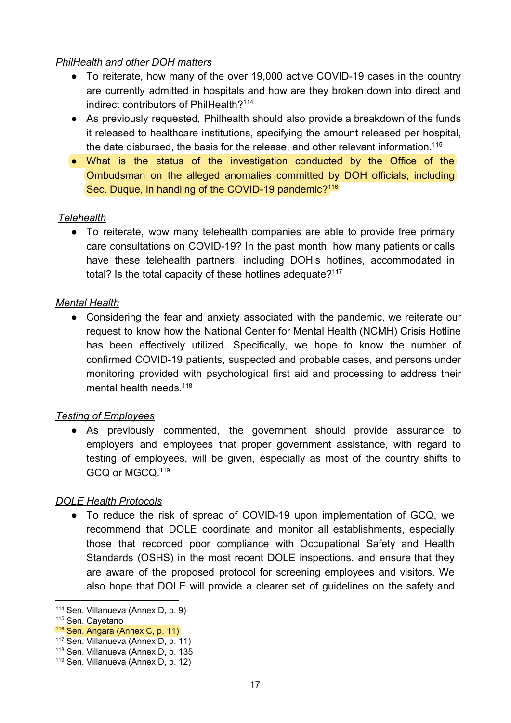## *PhilHealth and other DOH matters*

- To reiterate, how many of the over 19,000 active COVID-19 cases in the country are currently admitted in hospitals and how are they broken down into direct and indirect contributors of PhilHealth?<sup>114</sup>
- As previously requested, Philhealth should also provide a breakdown of the funds it released to healthcare institutions, specifying the amount released per hospital, the date disbursed, the basis for the release, and other relevant information.<sup>115</sup>
- What is the status of the investigation conducted by the Office of the Ombudsman on the alleged anomalies committed by DOH officials, including Sec. Duque, in handling of the COVID-19 pandemic?<sup>116</sup>

## *Telehealth*

• To reiterate, wow many telehealth companies are able to provide free primary care consultations on COVID-19? In the past month, how many patients or calls have these telehealth partners, including DOH's hotlines, accommodated in total? Is the total capacity of these hotlines adequate?<sup>117</sup>

## *Mental Health*

● Considering the fear and anxiety associated with the pandemic, we reiterate our request to know how the National Center for Mental Health (NCMH) Crisis Hotline has been effectively utilized. Specifically, we hope to know the number of confirmed COVID-19 patients, suspected and probable cases, and persons under monitoring provided with psychological first aid and processing to address their mental health needs.<sup>118</sup>

## *Testing of Employees*

● As previously commented, the government should provide assurance to employers and employees that proper government assistance, with regard to testing of employees, will be given, especially as most of the country shifts to GCQ or MGCQ.<sup>119</sup>

## *DOLE Health Protocols*

• To reduce the risk of spread of COVID-19 upon implementation of GCQ, we recommend that DOLE coordinate and monitor all establishments, especially those that recorded poor compliance with Occupational Safety and Health Standards (OSHS) in the most recent DOLE inspections, and ensure that they are aware of the proposed protocol for screening employees and visitors. We also hope that DOLE will provide a clearer set of guidelines on the safety and

<sup>114</sup> Sen. Villanueva (Annex D, p. 9)

<sup>115</sup> Sen. Cayetano

<sup>116</sup> Sen. Angara (Annex C, p. 11)

<sup>117</sup> Sen. Villanueva (Annex D, p. 11)

<sup>118</sup> Sen. Villanueva (Annex D, p. 135

<sup>119</sup> Sen. Villanueva (Annex D, p. 12)